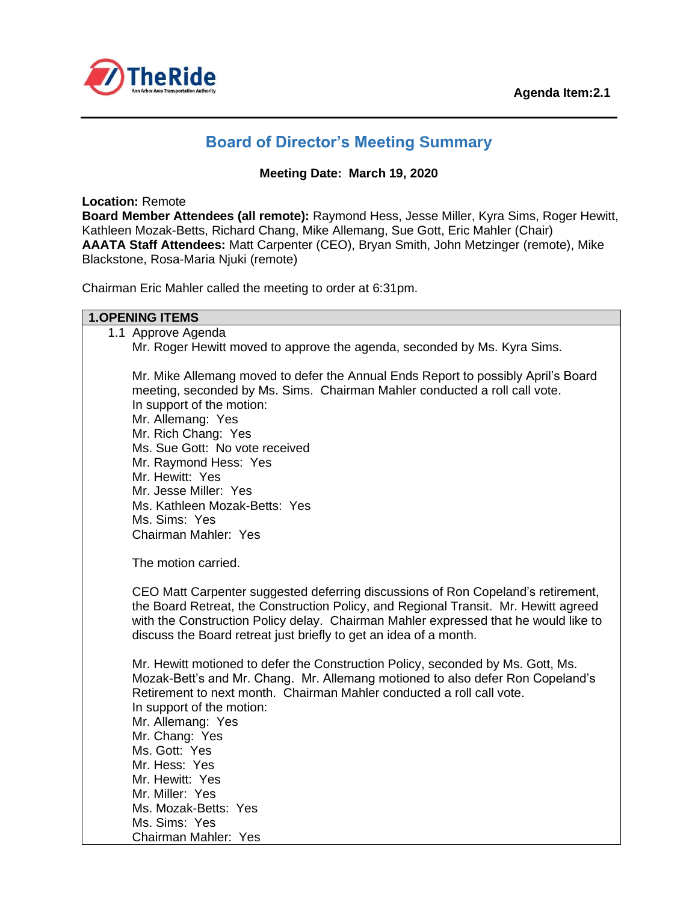

# **Board of Director's Meeting Summary**

#### **Meeting Date: March 19, 2020**

**Location:** Remote

**Board Member Attendees (all remote):** Raymond Hess, Jesse Miller, Kyra Sims, Roger Hewitt, Kathleen Mozak-Betts, Richard Chang, Mike Allemang, Sue Gott, Eric Mahler (Chair) **AAATA Staff Attendees:** Matt Carpenter (CEO), Bryan Smith, John Metzinger (remote), Mike Blackstone, Rosa-Maria Njuki (remote)

Chairman Eric Mahler called the meeting to order at 6:31pm.

#### **1.OPENING ITEMS**

| 1.1 Approve Agenda                                                                                                                                                                                                                                                                                                                                                                                                              |
|---------------------------------------------------------------------------------------------------------------------------------------------------------------------------------------------------------------------------------------------------------------------------------------------------------------------------------------------------------------------------------------------------------------------------------|
| Mr. Roger Hewitt moved to approve the agenda, seconded by Ms. Kyra Sims.                                                                                                                                                                                                                                                                                                                                                        |
| Mr. Mike Allemang moved to defer the Annual Ends Report to possibly April's Board<br>meeting, seconded by Ms. Sims. Chairman Mahler conducted a roll call vote.<br>In support of the motion:<br>Mr. Allemang: Yes<br>Mr. Rich Chang: Yes<br>Ms. Sue Gott: No vote received<br>Mr. Raymond Hess: Yes<br>Mr. Hewitt: Yes<br>Mr. Jesse Miller: Yes<br>Ms. Kathleen Mozak-Betts: Yes<br>Ms. Sims: Yes                               |
| Chairman Mahler: Yes                                                                                                                                                                                                                                                                                                                                                                                                            |
| The motion carried.                                                                                                                                                                                                                                                                                                                                                                                                             |
| CEO Matt Carpenter suggested deferring discussions of Ron Copeland's retirement,<br>the Board Retreat, the Construction Policy, and Regional Transit. Mr. Hewitt agreed<br>with the Construction Policy delay. Chairman Mahler expressed that he would like to<br>discuss the Board retreat just briefly to get an idea of a month.                                                                                             |
| Mr. Hewitt motioned to defer the Construction Policy, seconded by Ms. Gott, Ms.<br>Mozak-Bett's and Mr. Chang. Mr. Allemang motioned to also defer Ron Copeland's<br>Retirement to next month. Chairman Mahler conducted a roll call vote.<br>In support of the motion:<br>Mr. Allemang: Yes<br>Mr. Chang: Yes<br>Ms. Gott: Yes<br>Mr. Hess: Yes<br>Mr. Hewitt: Yes<br>Mr. Miller: Yes<br>Ms. Mozak-Betts: Yes<br>Ms. Sims: Yes |
| Chairman Mahler: Yes                                                                                                                                                                                                                                                                                                                                                                                                            |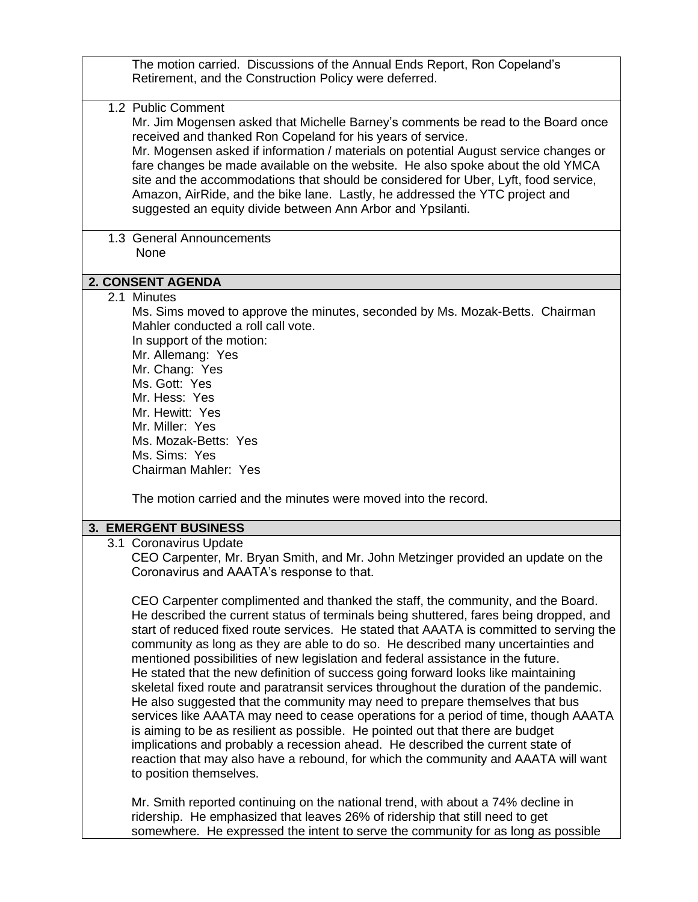| The motion carried. Discussions of the Annual Ends Report, Ron Copeland's<br>Retirement, and the Construction Policy were deferred.                                                                                                                                                                                                                                                                                                                                                                                                                                                                                                                                                                                                                                                                                                                                                                                                                                                                                                                                                                                                                                                                                                                |
|----------------------------------------------------------------------------------------------------------------------------------------------------------------------------------------------------------------------------------------------------------------------------------------------------------------------------------------------------------------------------------------------------------------------------------------------------------------------------------------------------------------------------------------------------------------------------------------------------------------------------------------------------------------------------------------------------------------------------------------------------------------------------------------------------------------------------------------------------------------------------------------------------------------------------------------------------------------------------------------------------------------------------------------------------------------------------------------------------------------------------------------------------------------------------------------------------------------------------------------------------|
| 1.2 Public Comment<br>Mr. Jim Mogensen asked that Michelle Barney's comments be read to the Board once<br>received and thanked Ron Copeland for his years of service.<br>Mr. Mogensen asked if information / materials on potential August service changes or<br>fare changes be made available on the website. He also spoke about the old YMCA<br>site and the accommodations that should be considered for Uber, Lyft, food service,<br>Amazon, AirRide, and the bike lane. Lastly, he addressed the YTC project and<br>suggested an equity divide between Ann Arbor and Ypsilanti.                                                                                                                                                                                                                                                                                                                                                                                                                                                                                                                                                                                                                                                             |
| 1.3 General Announcements<br>None                                                                                                                                                                                                                                                                                                                                                                                                                                                                                                                                                                                                                                                                                                                                                                                                                                                                                                                                                                                                                                                                                                                                                                                                                  |
| 2. CONSENT AGENDA                                                                                                                                                                                                                                                                                                                                                                                                                                                                                                                                                                                                                                                                                                                                                                                                                                                                                                                                                                                                                                                                                                                                                                                                                                  |
| 2.1 Minutes<br>Ms. Sims moved to approve the minutes, seconded by Ms. Mozak-Betts. Chairman<br>Mahler conducted a roll call vote.<br>In support of the motion:<br>Mr. Allemang: Yes<br>Mr. Chang: Yes<br>Ms. Gott: Yes<br>Mr. Hess: Yes<br>Mr. Hewitt: Yes<br>Mr. Miller: Yes<br>Ms. Mozak-Betts: Yes<br>Ms. Sims: Yes<br>Chairman Mahler: Yes                                                                                                                                                                                                                                                                                                                                                                                                                                                                                                                                                                                                                                                                                                                                                                                                                                                                                                     |
| The motion carried and the minutes were moved into the record.                                                                                                                                                                                                                                                                                                                                                                                                                                                                                                                                                                                                                                                                                                                                                                                                                                                                                                                                                                                                                                                                                                                                                                                     |
| <b>3. EMERGENT BUSINESS</b>                                                                                                                                                                                                                                                                                                                                                                                                                                                                                                                                                                                                                                                                                                                                                                                                                                                                                                                                                                                                                                                                                                                                                                                                                        |
| 3.1 Coronavirus Update<br>CEO Carpenter, Mr. Bryan Smith, and Mr. John Metzinger provided an update on the<br>Coronavirus and AAATA's response to that.<br>CEO Carpenter complimented and thanked the staff, the community, and the Board.<br>He described the current status of terminals being shuttered, fares being dropped, and<br>start of reduced fixed route services. He stated that AAATA is committed to serving the<br>community as long as they are able to do so. He described many uncertainties and<br>mentioned possibilities of new legislation and federal assistance in the future.<br>He stated that the new definition of success going forward looks like maintaining<br>skeletal fixed route and paratransit services throughout the duration of the pandemic.<br>He also suggested that the community may need to prepare themselves that bus<br>services like AAATA may need to cease operations for a period of time, though AAATA<br>is aiming to be as resilient as possible. He pointed out that there are budget<br>implications and probably a recession ahead. He described the current state of<br>reaction that may also have a rebound, for which the community and AAATA will want<br>to position themselves. |
| Mr. Smith reported continuing on the national trend, with about a 74% decline in<br>ridership. He emphasized that leaves 26% of ridership that still need to get<br>somewhere. He expressed the intent to serve the community for as long as possible                                                                                                                                                                                                                                                                                                                                                                                                                                                                                                                                                                                                                                                                                                                                                                                                                                                                                                                                                                                              |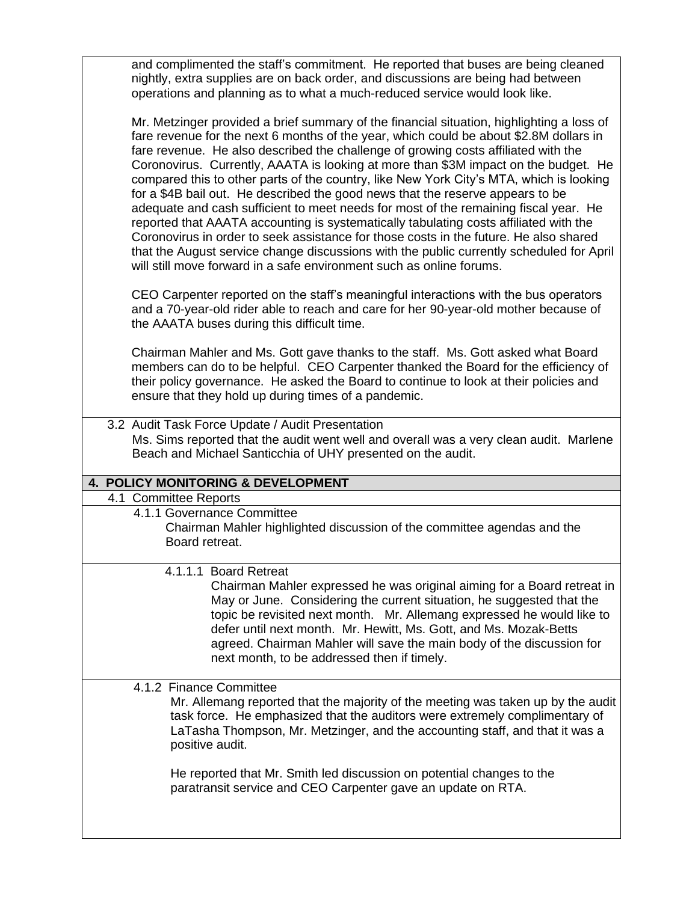and complimented the staff's commitment. He reported that buses are being cleaned nightly, extra supplies are on back order, and discussions are being had between operations and planning as to what a much-reduced service would look like.

Mr. Metzinger provided a brief summary of the financial situation, highlighting a loss of fare revenue for the next 6 months of the year, which could be about \$2.8M dollars in fare revenue. He also described the challenge of growing costs affiliated with the Coronovirus. Currently, AAATA is looking at more than \$3M impact on the budget. He compared this to other parts of the country, like New York City's MTA, which is looking for a \$4B bail out. He described the good news that the reserve appears to be adequate and cash sufficient to meet needs for most of the remaining fiscal year. He reported that AAATA accounting is systematically tabulating costs affiliated with the Coronovirus in order to seek assistance for those costs in the future. He also shared that the August service change discussions with the public currently scheduled for April will still move forward in a safe environment such as online forums.

CEO Carpenter reported on the staff's meaningful interactions with the bus operators and a 70-year-old rider able to reach and care for her 90-year-old mother because of the AAATA buses during this difficult time.

Chairman Mahler and Ms. Gott gave thanks to the staff. Ms. Gott asked what Board members can do to be helpful. CEO Carpenter thanked the Board for the efficiency of their policy governance. He asked the Board to continue to look at their policies and ensure that they hold up during times of a pandemic.

 3.2 Audit Task Force Update / Audit Presentation Ms. Sims reported that the audit went well and overall was a very clean audit. Marlene Beach and Michael Santicchia of UHY presented on the audit.

### **4. POLICY MONITORING & DEVELOPMENT**

4.1 Committee Reports

4.1.1 Governance Committee Chairman Mahler highlighted discussion of the committee agendas and the

Board retreat.

4.1.1.1 Board Retreat

Chairman Mahler expressed he was original aiming for a Board retreat in May or June. Considering the current situation, he suggested that the topic be revisited next month. Mr. Allemang expressed he would like to defer until next month. Mr. Hewitt, Ms. Gott, and Ms. Mozak-Betts agreed. Chairman Mahler will save the main body of the discussion for next month, to be addressed then if timely.

4.1.2 Finance Committee

Mr. Allemang reported that the majority of the meeting was taken up by the audit task force. He emphasized that the auditors were extremely complimentary of LaTasha Thompson, Mr. Metzinger, and the accounting staff, and that it was a positive audit.

He reported that Mr. Smith led discussion on potential changes to the paratransit service and CEO Carpenter gave an update on RTA.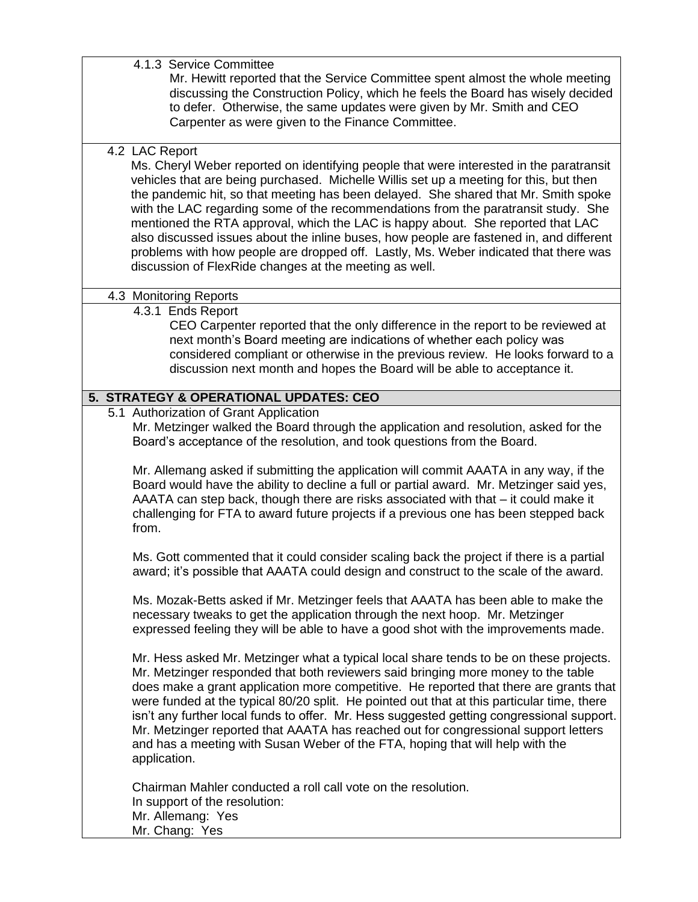4.1.3 Service Committee

Mr. Hewitt reported that the Service Committee spent almost the whole meeting discussing the Construction Policy, which he feels the Board has wisely decided to defer. Otherwise, the same updates were given by Mr. Smith and CEO Carpenter as were given to the Finance Committee.

4.2 LAC Report

Ms. Cheryl Weber reported on identifying people that were interested in the paratransit vehicles that are being purchased. Michelle Willis set up a meeting for this, but then the pandemic hit, so that meeting has been delayed. She shared that Mr. Smith spoke with the LAC regarding some of the recommendations from the paratransit study. She mentioned the RTA approval, which the LAC is happy about. She reported that LAC also discussed issues about the inline buses, how people are fastened in, and different problems with how people are dropped off. Lastly, Ms. Weber indicated that there was discussion of FlexRide changes at the meeting as well.

## 4.3 Monitoring Reports

4.3.1 Ends Report

CEO Carpenter reported that the only difference in the report to be reviewed at next month's Board meeting are indications of whether each policy was considered compliant or otherwise in the previous review. He looks forward to a discussion next month and hopes the Board will be able to acceptance it.

# **5. STRATEGY & OPERATIONAL UPDATES: CEO**

5.1 Authorization of Grant Application

Mr. Metzinger walked the Board through the application and resolution, asked for the Board's acceptance of the resolution, and took questions from the Board.

Mr. Allemang asked if submitting the application will commit AAATA in any way, if the Board would have the ability to decline a full or partial award. Mr. Metzinger said yes, AAATA can step back, though there are risks associated with that – it could make it challenging for FTA to award future projects if a previous one has been stepped back from.

Ms. Gott commented that it could consider scaling back the project if there is a partial award; it's possible that AAATA could design and construct to the scale of the award.

Ms. Mozak-Betts asked if Mr. Metzinger feels that AAATA has been able to make the necessary tweaks to get the application through the next hoop. Mr. Metzinger expressed feeling they will be able to have a good shot with the improvements made.

Mr. Hess asked Mr. Metzinger what a typical local share tends to be on these projects. Mr. Metzinger responded that both reviewers said bringing more money to the table does make a grant application more competitive. He reported that there are grants that were funded at the typical 80/20 split. He pointed out that at this particular time, there isn't any further local funds to offer. Mr. Hess suggested getting congressional support. Mr. Metzinger reported that AAATA has reached out for congressional support letters and has a meeting with Susan Weber of the FTA, hoping that will help with the application.

Chairman Mahler conducted a roll call vote on the resolution. In support of the resolution: Mr. Allemang: Yes Mr. Chang: Yes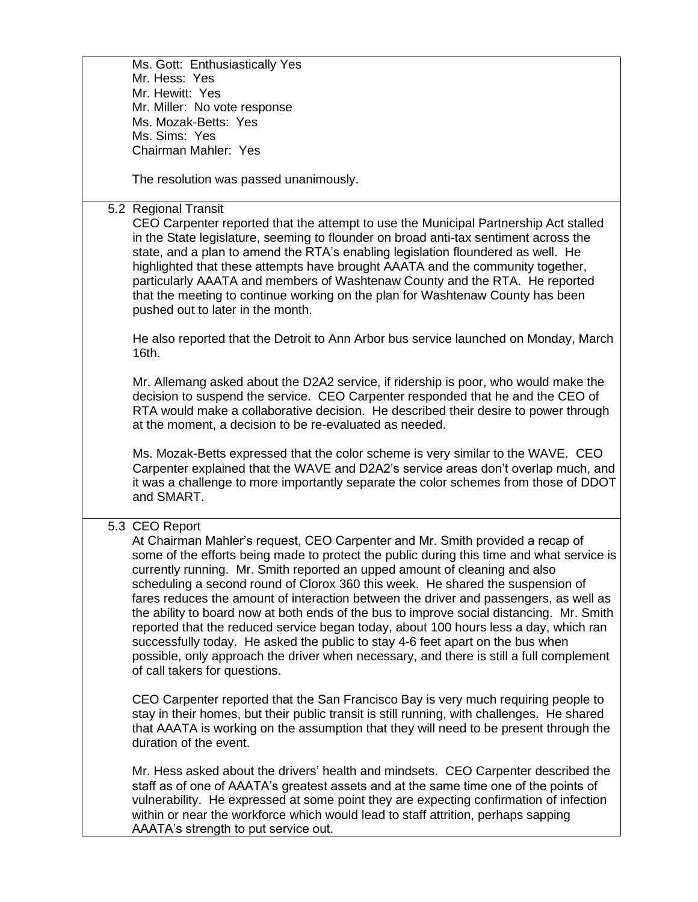|  | Ms. Gott: Enthusiastically Yes                                                                                                                                                                                                                                                                                                                                                                                                                                                                                                                                                                                                                                                                                                                                                                                                                                                                                             |
|--|----------------------------------------------------------------------------------------------------------------------------------------------------------------------------------------------------------------------------------------------------------------------------------------------------------------------------------------------------------------------------------------------------------------------------------------------------------------------------------------------------------------------------------------------------------------------------------------------------------------------------------------------------------------------------------------------------------------------------------------------------------------------------------------------------------------------------------------------------------------------------------------------------------------------------|
|  | Mr. Hess: Yes                                                                                                                                                                                                                                                                                                                                                                                                                                                                                                                                                                                                                                                                                                                                                                                                                                                                                                              |
|  | Mr. Hewitt: Yes                                                                                                                                                                                                                                                                                                                                                                                                                                                                                                                                                                                                                                                                                                                                                                                                                                                                                                            |
|  | Mr. Miller: No vote response                                                                                                                                                                                                                                                                                                                                                                                                                                                                                                                                                                                                                                                                                                                                                                                                                                                                                               |
|  | Ms. Mozak-Betts: Yes                                                                                                                                                                                                                                                                                                                                                                                                                                                                                                                                                                                                                                                                                                                                                                                                                                                                                                       |
|  | Ms. Sims: Yes                                                                                                                                                                                                                                                                                                                                                                                                                                                                                                                                                                                                                                                                                                                                                                                                                                                                                                              |
|  | <b>Chairman Mahler: Yes</b>                                                                                                                                                                                                                                                                                                                                                                                                                                                                                                                                                                                                                                                                                                                                                                                                                                                                                                |
|  | The resolution was passed unanimously.                                                                                                                                                                                                                                                                                                                                                                                                                                                                                                                                                                                                                                                                                                                                                                                                                                                                                     |
|  | 5.2 Regional Transit                                                                                                                                                                                                                                                                                                                                                                                                                                                                                                                                                                                                                                                                                                                                                                                                                                                                                                       |
|  | CEO Carpenter reported that the attempt to use the Municipal Partnership Act stalled<br>in the State legislature, seeming to flounder on broad anti-tax sentiment across the<br>state, and a plan to amend the RTA's enabling legislation floundered as well. He<br>highlighted that these attempts have brought AAATA and the community together,<br>particularly AAATA and members of Washtenaw County and the RTA. He reported<br>that the meeting to continue working on the plan for Washtenaw County has been<br>pushed out to later in the month.<br>He also reported that the Detroit to Ann Arbor bus service launched on Monday, March<br>16th.<br>Mr. Allemang asked about the D2A2 service, if ridership is poor, who would make the<br>decision to suspend the service. CEO Carpenter responded that he and the CEO of<br>RTA would make a collaborative decision. He described their desire to power through |
|  | at the moment, a decision to be re-evaluated as needed.<br>Ms. Mozak-Betts expressed that the color scheme is very similar to the WAVE. CEO<br>Carpenter explained that the WAVE and D2A2's service areas don't overlap much, and                                                                                                                                                                                                                                                                                                                                                                                                                                                                                                                                                                                                                                                                                          |
|  | it was a challenge to more importantly separate the color schemes from those of DDOT<br>and SMART.                                                                                                                                                                                                                                                                                                                                                                                                                                                                                                                                                                                                                                                                                                                                                                                                                         |
|  | 5.3 CEO Report<br>At Chairman Mahler's request, CEO Carpenter and Mr. Smith provided a recap of<br>some of the efforts being made to protect the public during this time and what service is<br>currently running. Mr. Smith reported an upped amount of cleaning and also<br>scheduling a second round of Clorox 360 this week. He shared the suspension of<br>fares reduces the amount of interaction between the driver and passengers, as well as<br>the ability to board now at both ends of the bus to improve social distancing. Mr. Smith<br>reported that the reduced service began today, about 100 hours less a day, which ran<br>successfully today. He asked the public to stay 4-6 feet apart on the bus when<br>possible, only approach the driver when necessary, and there is still a full complement<br>of call takers for questions.                                                                    |
|  | CEO Carpenter reported that the San Francisco Bay is very much requiring people to<br>stay in their homes, but their public transit is still running, with challenges. He shared<br>that AAATA is working on the assumption that they will need to be present through the<br>duration of the event.                                                                                                                                                                                                                                                                                                                                                                                                                                                                                                                                                                                                                        |
|  | Mr. Hess asked about the drivers' health and mindsets. CEO Carpenter described the<br>staff as of one of AAATA's greatest assets and at the same time one of the points of<br>vulnerability. He expressed at some point they are expecting confirmation of infection<br>within or near the workforce which would lead to staff attrition, perhaps sapping<br>AAATA's strength to put service out.                                                                                                                                                                                                                                                                                                                                                                                                                                                                                                                          |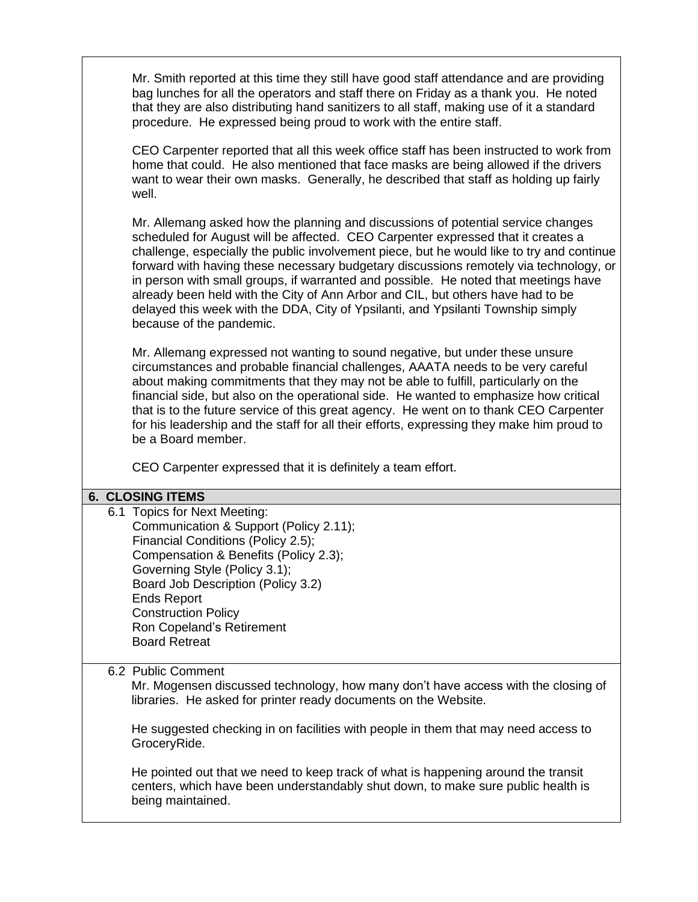Mr. Smith reported at this time they still have good staff attendance and are providing bag lunches for all the operators and staff there on Friday as a thank you. He noted that they are also distributing hand sanitizers to all staff, making use of it a standard procedure. He expressed being proud to work with the entire staff.

CEO Carpenter reported that all this week office staff has been instructed to work from home that could. He also mentioned that face masks are being allowed if the drivers want to wear their own masks. Generally, he described that staff as holding up fairly well.

Mr. Allemang asked how the planning and discussions of potential service changes scheduled for August will be affected. CEO Carpenter expressed that it creates a challenge, especially the public involvement piece, but he would like to try and continue forward with having these necessary budgetary discussions remotely via technology, or in person with small groups, if warranted and possible. He noted that meetings have already been held with the City of Ann Arbor and CIL, but others have had to be delayed this week with the DDA, City of Ypsilanti, and Ypsilanti Township simply because of the pandemic.

Mr. Allemang expressed not wanting to sound negative, but under these unsure circumstances and probable financial challenges, AAATA needs to be very careful about making commitments that they may not be able to fulfill, particularly on the financial side, but also on the operational side. He wanted to emphasize how critical that is to the future service of this great agency. He went on to thank CEO Carpenter for his leadership and the staff for all their efforts, expressing they make him proud to be a Board member.

CEO Carpenter expressed that it is definitely a team effort.

#### **6. CLOSING ITEMS**

6.1 Topics for Next Meeting: Communication & Support (Policy 2.11); Financial Conditions (Policy 2.5); Compensation & Benefits (Policy 2.3); Governing Style (Policy 3.1); Board Job Description (Policy 3.2) Ends Report Construction Policy Ron Copeland's Retirement Board Retreat

### 6.2 Public Comment

Mr. Mogensen discussed technology, how many don't have access with the closing of libraries. He asked for printer ready documents on the Website.

He suggested checking in on facilities with people in them that may need access to GroceryRide.

He pointed out that we need to keep track of what is happening around the transit centers, which have been understandably shut down, to make sure public health is being maintained.